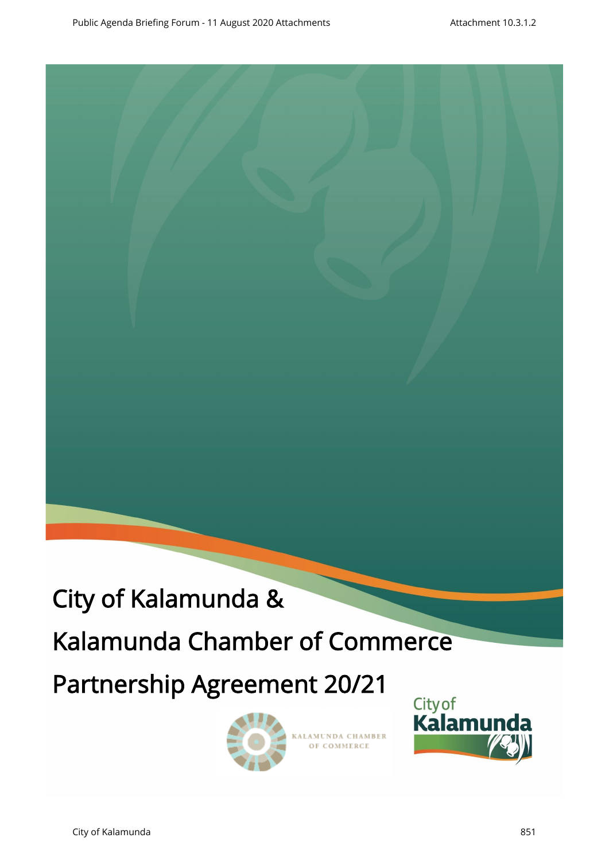

# Kalamunda Chamber of Commerce

# Partnership Agreement 20/21



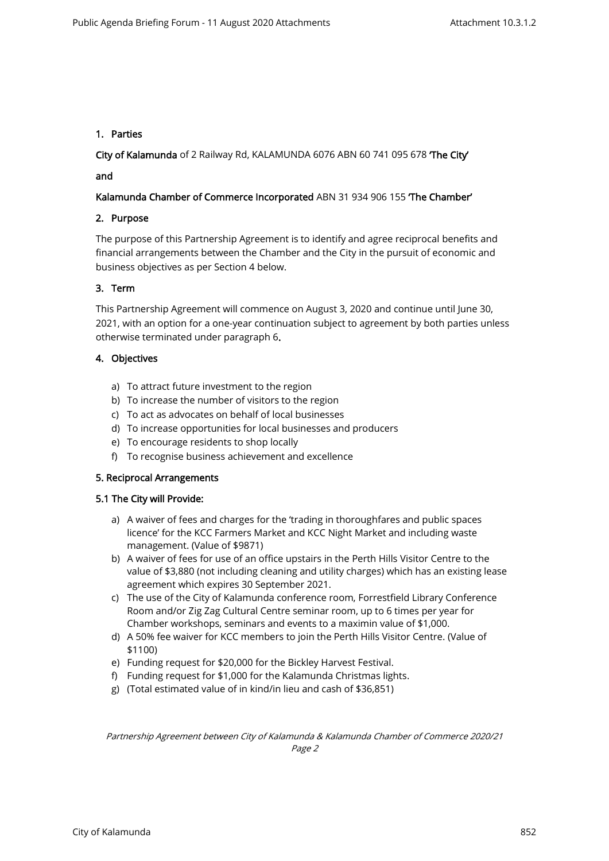# 1. Parties

City of Kalamunda of 2 Railway Rd, KALAMUNDA 6076 ABN 60 741 095 678 'The City'

# and

# Kalamunda Chamber of Commerce Incorporated ABN 31 934 906 155 The Chamber'

# 2. Purpose

The purpose of this Partnership Agreement is to identify and agree reciprocal benefits and financial arrangements between the Chamber and the City in the pursuit of economic and business objectives as per Section 4 below.

# 3. Term

This Partnership Agreement will commence on August 3, 2020 and continue until June 30, 2021, with an option for a one-year continuation subject to agreement by both parties unless otherwise terminated under paragraph 6.

# 4. Objectives

- a) To attract future investment to the region
- b) To increase the number of visitors to the region
- c) To act as advocates on behalf of local businesses
- d) To increase opportunities for local businesses and producers
- e) To encourage residents to shop locally
- f) To recognise business achievement and excellence

#### 5. Reciprocal Arrangements

#### 5.1 The City will Provide:

- a) A waiver of fees and charges for the 'trading in thoroughfares and public spaces licence' for the KCC Farmers Market and KCC Night Market and including waste management. (Value of \$9871)
- b) A waiver of fees for use of an office upstairs in the Perth Hills Visitor Centre to the value of \$3,880 (not including cleaning and utility charges) which has an existing lease agreement which expires 30 September 2021.
- c) The use of the City of Kalamunda conference room, Forrestfield Library Conference Room and/or Zig Zag Cultural Centre seminar room, up to 6 times per year for Chamber workshops, seminars and events to a maximin value of \$1,000.
- d) A 50% fee waiver for KCC members to join the Perth Hills Visitor Centre. (Value of \$1100)
- e) Funding request for \$20,000 for the Bickley Harvest Festival.
- f) Funding request for \$1,000 for the Kalamunda Christmas lights.
- g) (Total estimated value of in kind/in lieu and cash of \$36,851)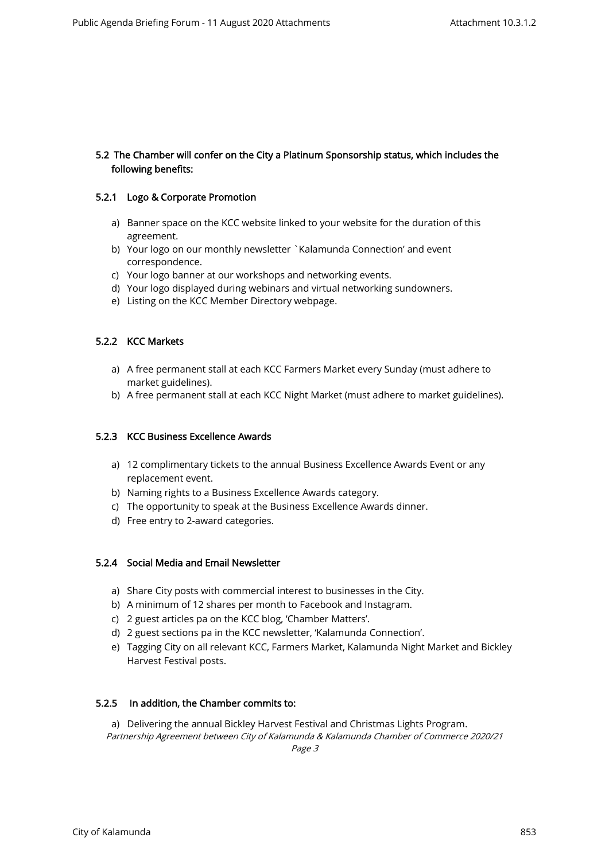# 5.2 The Chamber will confer on the City a Platinum Sponsorship status, which includes the following benefits:

#### 5.2.1 Logo & Corporate Promotion

- a) Banner space on the KCC website linked to your website for the duration of this agreement.
- b) Your logo on our monthly newsletter `Kalamunda Connection' and event correspondence.
- c) Your logo banner at our workshops and networking events.
- d) Your logo displayed during webinars and virtual networking sundowners.
- e) Listing on the KCC Member Directory webpage.

#### 5.2.2 KCC Markets

- a) A free permanent stall at each KCC Farmers Market every Sunday (must adhere to market guidelines).
- b) A free permanent stall at each KCC Night Market (must adhere to market guidelines).

#### 5.2.3 KCC Business Excellence Awards

- a) 12 complimentary tickets to the annual Business Excellence Awards Event or any replacement event.
- b) Naming rights to a Business Excellence Awards category.
- c) The opportunity to speak at the Business Excellence Awards dinner.
- d) Free entry to 2-award categories.

#### 5.2.4 Social Media and Email Newsletter

- a) Share City posts with commercial interest to businesses in the City.
- b) A minimum of 12 shares per month to Facebook and Instagram.
- c) 2 guest articles pa on the KCC blog, 'Chamber Matters'.
- d) 2 guest sections pa in the KCC newsletter, 'Kalamunda Connection'.
- e) Tagging City on all relevant KCC, Farmers Market, Kalamunda Night Market and Bickley Harvest Festival posts.

#### 5.2.5 In addition, the Chamber commits to:

Partnership Agreement between City of Kalamunda & Kalamunda Chamber of Commerce 2020/21 a) Delivering the annual Bickley Harvest Festival and Christmas Lights Program.

Page 3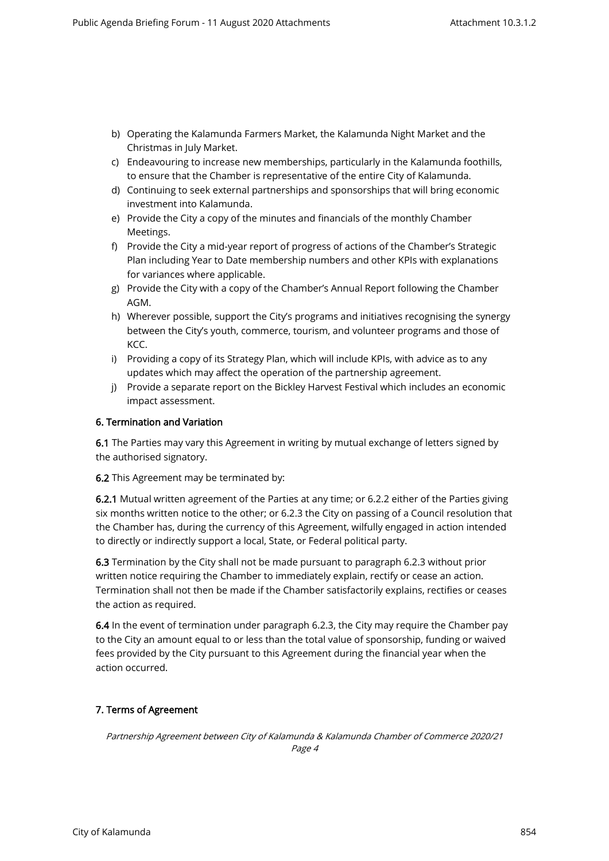- b) Operating the Kalamunda Farmers Market, the Kalamunda Night Market and the Christmas in July Market.
- c) Endeavouring to increase new memberships, particularly in the Kalamunda foothills, to ensure that the Chamber is representative of the entire City of Kalamunda.
- d) Continuing to seek external partnerships and sponsorships that will bring economic investment into Kalamunda.
- e) Provide the City a copy of the minutes and financials of the monthly Chamber Meetings.
- f) Provide the City a mid-year report of progress of actions of the Chamber's Strategic Plan including Year to Date membership numbers and other KPIs with explanations for variances where applicable.
- g) Provide the City with a copy of the Chamber's Annual Report following the Chamber AGM.
- h) Wherever possible, support the City's programs and initiatives recognising the synergy between the City's youth, commerce, tourism, and volunteer programs and those of KCC.
- i) Providing a copy of its Strategy Plan, which will include KPIs, with advice as to any updates which may affect the operation of the partnership agreement.
- j) Provide a separate report on the Bickley Harvest Festival which includes an economic impact assessment.

# 6. Termination and Variation

6.1 The Parties may vary this Agreement in writing by mutual exchange of letters signed by the authorised signatory.

6.2 This Agreement may be terminated by:

6.2.1 Mutual written agreement of the Parties at any time; or 6.2.2 either of the Parties giving six months written notice to the other; or 6.2.3 the City on passing of a Council resolution that the Chamber has, during the currency of this Agreement, wilfully engaged in action intended to directly or indirectly support a local, State, or Federal political party.

6.3 Termination by the City shall not be made pursuant to paragraph 6.2.3 without prior written notice requiring the Chamber to immediately explain, rectify or cease an action. Termination shall not then be made if the Chamber satisfactorily explains, rectifies or ceases the action as required.

6.4 In the event of termination under paragraph 6.2.3, the City may require the Chamber pay to the City an amount equal to or less than the total value of sponsorship, funding or waived fees provided by the City pursuant to this Agreement during the financial year when the action occurred.

# 7. Terms of Agreement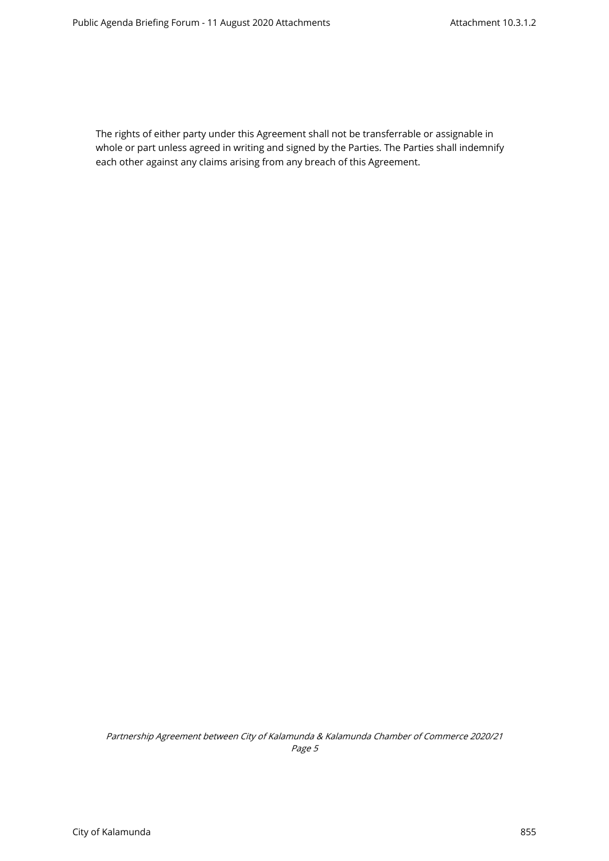The rights of either party under this Agreement shall not be transferrable or assignable in whole or part unless agreed in writing and signed by the Parties. The Parties shall indemnify each other against any claims arising from any breach of this Agreement.